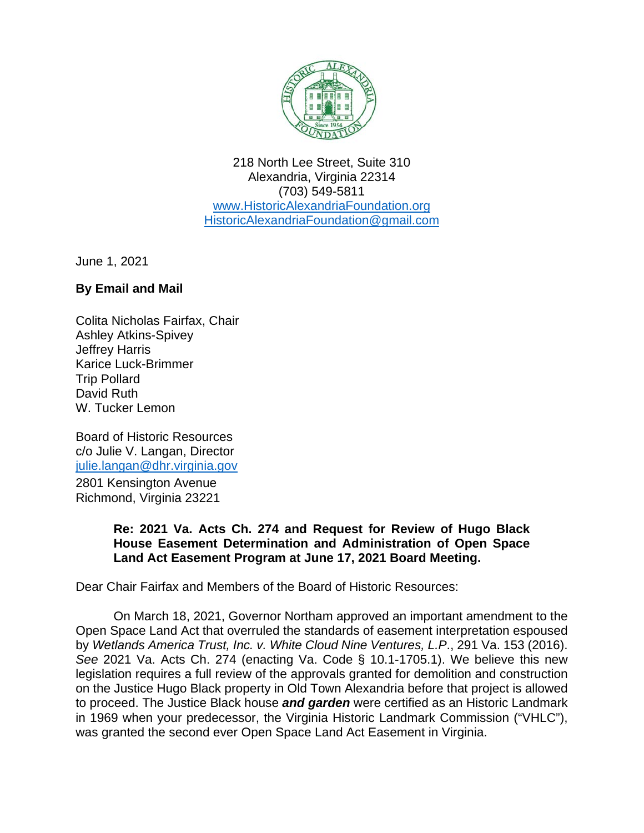

218 North Lee Street, Suite 310 Alexandria, Virginia 22314 (703) 549-5811 [www.HistoricAlexandriaFoundation.org](http://www.historicalexandriafoundation.org/) [HistoricAlexandriaFoundation@gmail.com](mailto:HistoricAlexandriaFoundation@gmail.com)

June 1, 2021

## **By Email and Mail**

Colita Nicholas Fairfax, Chair Ashley Atkins-Spivey Jeffrey Harris Karice Luck-Brimmer Trip Pollard David Ruth W. Tucker Lemon

Board of Historic Resources c/o Julie V. Langan, Director julie.langan@dhr.virginia.gov

2801 Kensington Avenue Richmond, Virginia 23221

## **Re: 2021 Va. Acts Ch. 274 and Request for Review of Hugo Black House Easement Determination and Administration of Open Space Land Act Easement Program at June 17, 2021 Board Meeting.**

Dear Chair Fairfax and Members of the Board of Historic Resources:

On March 18, 2021, Governor Northam approved an important amendment to the Open Space Land Act that overruled the standards of easement interpretation espoused by *Wetlands America Trust, Inc. v. White Cloud Nine Ventures, L.P*., 291 Va. 153 (2016). *See* 2021 Va. Acts Ch. 274 (enacting Va. Code § 10.1-1705.1). We believe this new legislation requires a full review of the approvals granted for demolition and construction on the Justice Hugo Black property in Old Town Alexandria before that project is allowed to proceed. The Justice Black house *and garden* were certified as an Historic Landmark in 1969 when your predecessor, the Virginia Historic Landmark Commission ("VHLC"), was granted the second ever Open Space Land Act Easement in Virginia.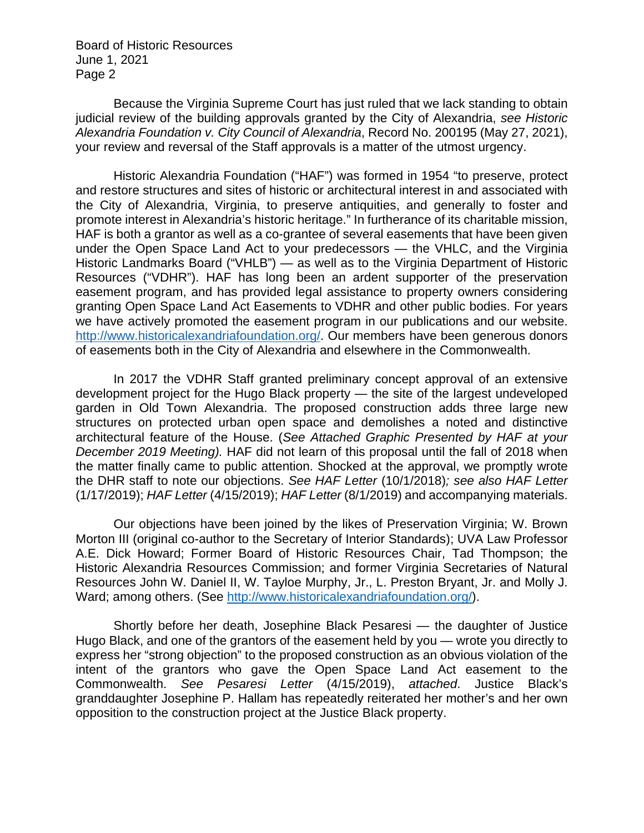Board of Historic Resources June 1, 2021 Page 2

Because the Virginia Supreme Court has just ruled that we lack standing to obtain judicial review of the building approvals granted by the City of Alexandria, *see Historic Alexandria Foundation v. City Council of Alexandria*, Record No. 200195 (May 27, 2021), your review and reversal of the Staff approvals is a matter of the utmost urgency.

Historic Alexandria Foundation ("HAF") was formed in 1954 "to preserve, protect and restore structures and sites of historic or architectural interest in and associated with the City of Alexandria, Virginia, to preserve antiquities, and generally to foster and promote interest in Alexandria's historic heritage." In furtherance of its charitable mission, HAF is both a grantor as well as a co-grantee of several easements that have been given under the Open Space Land Act to your predecessors — the VHLC, and the Virginia Historic Landmarks Board ("VHLB") — as well as to the Virginia Department of Historic Resources ("VDHR"). HAF has long been an ardent supporter of the preservation easement program, and has provided legal assistance to property owners considering granting Open Space Land Act Easements to VDHR and other public bodies. For years we have actively promoted the easement program in our publications and our website. [http://www.historicalexandriafoundation.org/.](http://www.historicalexandriafoundation.org/) Our members have been generous donors of easements both in the City of Alexandria and elsewhere in the Commonwealth.

In 2017 the VDHR Staff granted preliminary concept approval of an extensive development project for the Hugo Black property — the site of the largest undeveloped garden in Old Town Alexandria. The proposed construction adds three large new structures on protected urban open space and demolishes a noted and distinctive architectural feature of the House. (*See Attached Graphic Presented by HAF at your December 2019 Meeting).* HAF did not learn of this proposal until the fall of 2018 when the matter finally came to public attention. Shocked at the approval, we promptly wrote the DHR staff to note our objections. *See HAF Letter* (10/1/2018)*; see also HAF Letter*  (1/17/2019); *HAF Letter* (4/15/2019); *HAF Letter* (8/1/2019) and accompanying materials.

Our objections have been joined by the likes of Preservation Virginia; W. Brown Morton III (original co-author to the Secretary of Interior Standards); UVA Law Professor A.E. Dick Howard; Former Board of Historic Resources Chair, Tad Thompson; the Historic Alexandria Resources Commission; and former Virginia Secretaries of Natural Resources John W. Daniel II, W. Tayloe Murphy, Jr., L. Preston Bryant, Jr. and Molly J. Ward; among others. (See [http://www.historicalexandriafoundation.org/\)](http://www.historicalexandriafoundation.org/).

Shortly before her death, Josephine Black Pesaresi — the daughter of Justice Hugo Black, and one of the grantors of the easement held by you — wrote you directly to express her "strong objection" to the proposed construction as an obvious violation of the intent of the grantors who gave the Open Space Land Act easement to the Commonwealth. *See Pesaresi Letter* (4/15/2019), *attached*. Justice Black's granddaughter Josephine P. Hallam has repeatedly reiterated her mother's and her own opposition to the construction project at the Justice Black property.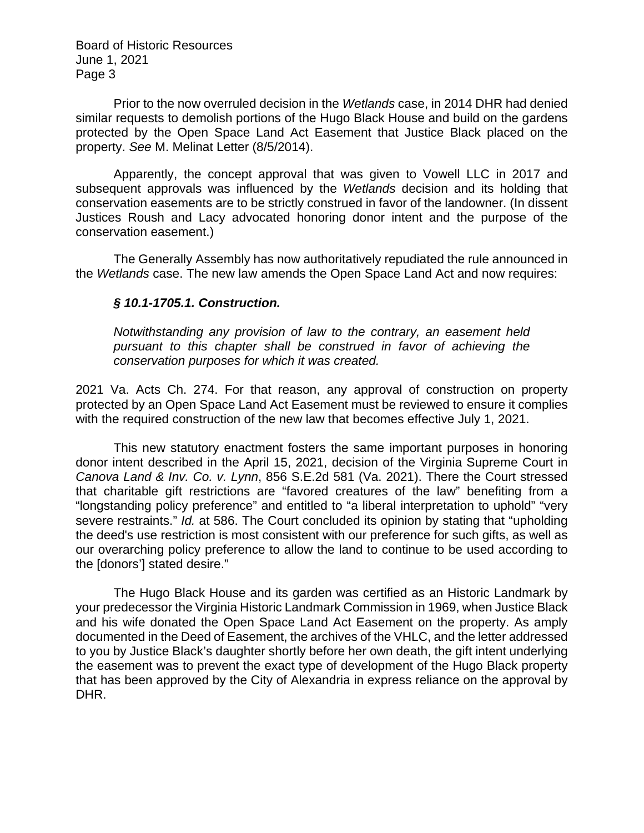Board of Historic Resources June 1, 2021 Page 3

Prior to the now overruled decision in the *Wetlands* case, in 2014 DHR had denied similar requests to demolish portions of the Hugo Black House and build on the gardens protected by the Open Space Land Act Easement that Justice Black placed on the property. *See* M. Melinat Letter (8/5/2014).

Apparently, the concept approval that was given to Vowell LLC in 2017 and subsequent approvals was influenced by the *Wetlands* decision and its holding that conservation easements are to be strictly construed in favor of the landowner. (In dissent Justices Roush and Lacy advocated honoring donor intent and the purpose of the conservation easement.)

The Generally Assembly has now authoritatively repudiated the rule announced in the *Wetlands* case. The new law amends the Open Space Land Act and now requires:

## *§ 10.1-1705.1. Construction.*

*Notwithstanding any provision of law to the contrary, an easement held pursuant to this chapter shall be construed in favor of achieving the conservation purposes for which it was created.*

2021 Va. Acts Ch. 274. For that reason, any approval of construction on property protected by an Open Space Land Act Easement must be reviewed to ensure it complies with the required construction of the new law that becomes effective July 1, 2021.

This new statutory enactment fosters the same important purposes in honoring donor intent described in the April 15, 2021, decision of the Virginia Supreme Court in *Canova Land & Inv. Co. v. Lynn*, 856 S.E.2d 581 (Va. 2021). There the Court stressed that charitable gift restrictions are "favored creatures of the law" benefiting from a "longstanding policy preference" and entitled to "a liberal interpretation to uphold" "very severe restraints." *Id.* at 586. The Court concluded its opinion by stating that "upholding the deed's use restriction is most consistent with our preference for such gifts, as well as our overarching policy preference to allow the land to continue to be used according to the [donors'] stated desire."

The Hugo Black House and its garden was certified as an Historic Landmark by your predecessor the Virginia Historic Landmark Commission in 1969, when Justice Black and his wife donated the Open Space Land Act Easement on the property. As amply documented in the Deed of Easement, the archives of the VHLC, and the letter addressed to you by Justice Black's daughter shortly before her own death, the gift intent underlying the easement was to prevent the exact type of development of the Hugo Black property that has been approved by the City of Alexandria in express reliance on the approval by DHR.